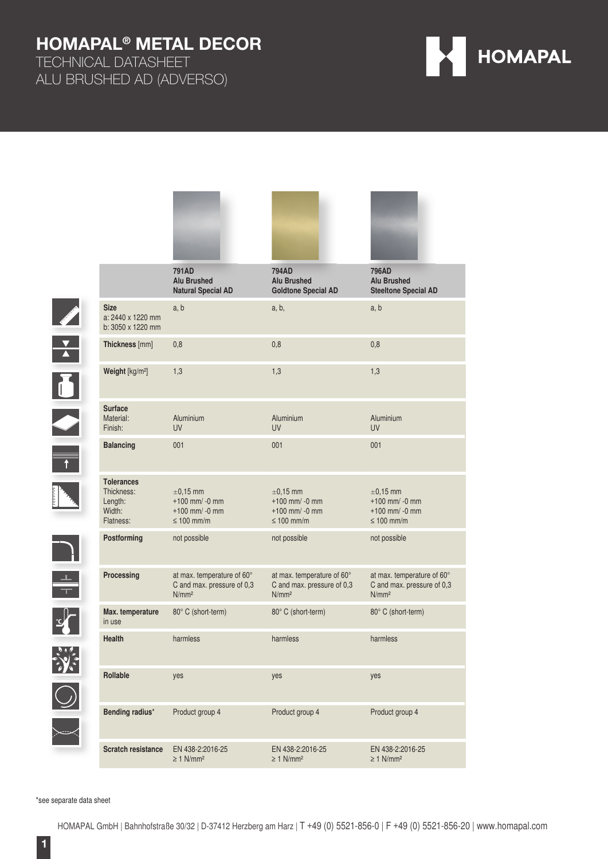**RANGE STREET** 

TECHNICAL DATASHEET ALU BRUSHED AD (ADVERSO)



|  |                                                                   | <b>791AD</b><br><b>Alu Brushed</b><br><b>Natural Special AD</b>               | <b>794AD</b><br><b>Alu Brushed</b><br><b>Goldtone Special AD</b>              | <b>796AD</b><br><b>Alu Brushed</b><br><b>Steeltone Special AD</b>             |
|--|-------------------------------------------------------------------|-------------------------------------------------------------------------------|-------------------------------------------------------------------------------|-------------------------------------------------------------------------------|
|  | <b>Size</b><br>a: 2440 x 1220 mm<br>b: 3050 x 1220 mm             | a, b                                                                          | a, b,                                                                         | a, b                                                                          |
|  | Thickness [mm]                                                    | 0,8                                                                           | 0,8                                                                           | 0,8                                                                           |
|  | Weight [kg/m <sup>2</sup> ]                                       | 1,3                                                                           | 1,3                                                                           | 1,3                                                                           |
|  | <b>Surface</b><br>Material:<br>Finish:                            | Aluminium<br><b>UV</b>                                                        | Aluminium<br><b>UV</b>                                                        | Aluminium<br><b>UV</b>                                                        |
|  | <b>Balancing</b>                                                  | 001                                                                           | 001                                                                           | 001                                                                           |
|  | <b>Tolerances</b><br>Thickness:<br>Length:<br>Width:<br>Flatness: | $\pm$ 0.15 mm<br>$+100$ mm/ -0 mm<br>$+100$ mm/ -0 mm<br>$\leq 100$ mm/m      | $\pm$ 0.15 mm<br>$+100$ mm/ -0 mm<br>$+100$ mm/ -0 mm<br>$\leq 100$ mm/m      | $\pm 0.15$ mm<br>$+100$ mm/ -0 mm<br>$+100$ mm/ -0 mm<br>$\leq 100$ mm/m      |
|  | Postforming                                                       | not possible                                                                  | not possible                                                                  | not possible                                                                  |
|  | Processing                                                        | at max. temperature of 60°<br>C and max. pressure of 0,3<br>N/mm <sup>2</sup> | at max. temperature of 60°<br>C and max. pressure of 0,3<br>N/mm <sup>2</sup> | at max. temperature of 60°<br>C and max. pressure of 0,3<br>N/mm <sup>2</sup> |
|  | Max. temperature<br>in use                                        | 80° C (short-term)                                                            | 80° C (short-term)                                                            | 80° C (short-term)                                                            |
|  | <b>Health</b>                                                     | harmless                                                                      | harmless                                                                      | harmless                                                                      |
|  | Rollable                                                          | yes                                                                           | yes                                                                           | yes                                                                           |
|  | Bending radius*                                                   | Product group 4                                                               | Product group 4                                                               | Product group 4                                                               |
|  | <b>Scratch resistance</b>                                         | EN 438-2:2016-25<br>$\geq$ 1 N/mm <sup>2</sup>                                | EN 438-2:2016-25<br>$\geq$ 1 N/mm <sup>2</sup>                                | EN 438-2:2016-25<br>$\geq$ 1 N/mm <sup>2</sup>                                |

**Redesigned** 

**Contract of Co** 

\*see separate data sheet

**SEPTEMBER** 

 $\overline{1}$ 

K

 $\frac{1}{\sqrt{2}}$ 

 $\mathbf{r}$ 

 $\bigcirc$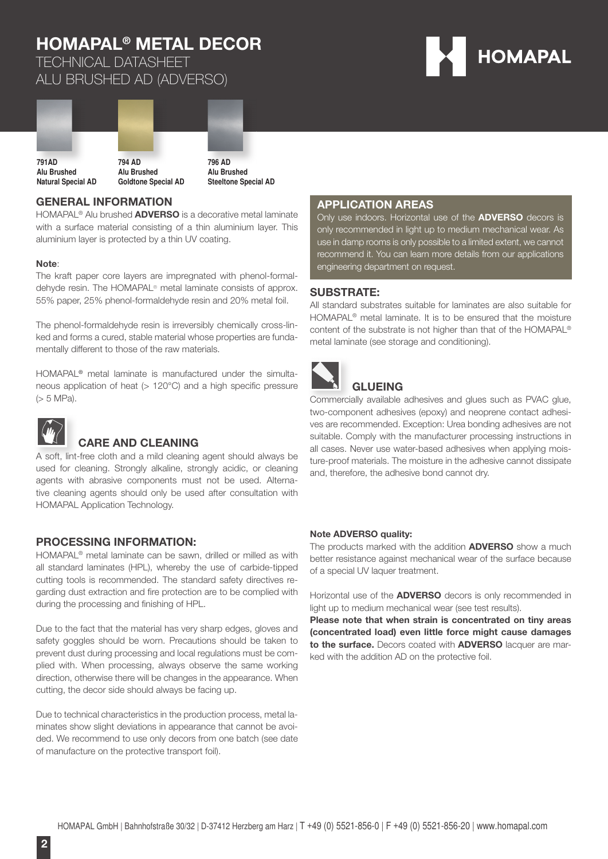TECHNICAL DATASHEET ALU BRUSHED AD (ADVERSO)





### **GENERAL INFORMATION**

HOMAPAL® Alu brushed **ADVERSO** is a decorative metal laminate with a surface material consisting of a thin aluminium layer. This aluminium layer is protected by a thin UV coating.

#### **Note**:

The kraft paper core layers are impregnated with phenol-formaldehyde resin. The HOMAPAL® metal laminate consists of approx. 55% paper, 25% phenol-formaldehyde resin and 20% metal foil.

The phenol-formaldehyde resin is irreversibly chemically cross-linked and forms a cured, stable material whose properties are fundamentally different to those of the raw materials.

HOMAPAL® metal laminate is manufactured under the simultaneous application of heat  $(> 120^{\circ}$ C) and a high specific pressure (> 5 MPa).



### **CARE AND CLEANING**

A soft, lint-free cloth and a mild cleaning agent should always be used for cleaning. Strongly alkaline, strongly acidic, or cleaning agents with abrasive components must not be used. Alternative cleaning agents should only be used after consultation with HOMAPAL Application Technology.

### **PROCESSING INFORMATION:**

HOMAPAL® metal laminate can be sawn, drilled or milled as with all standard laminates (HPL), whereby the use of carbide-tipped cutting tools is recommended. The standard safety directives regarding dust extraction and fire protection are to be complied with during the processing and finishing of HPL.

Due to the fact that the material has very sharp edges, gloves and safety goggles should be worn. Precautions should be taken to prevent dust during processing and local regulations must be complied with. When processing, always observe the same working direction, otherwise there will be changes in the appearance. When cutting, the decor side should always be facing up.

Due to technical characteristics in the production process, metal laminates show slight deviations in appearance that cannot be avoided. We recommend to use only decors from one batch (see date of manufacture on the protective transport foil).

### **APPLICATION AREAS**

Only use indoors. Horizontal use of the **ADVERSO** decors is only recommended in light up to medium mechanical wear. As use in damp rooms is only possible to a limited extent, we cannot recommend it. You can learn more details from our applications engineering department on request.

### **SUBSTRATE:**

All standard substrates suitable for laminates are also suitable for HOMAPAL® metal laminate. It is to be ensured that the moisture content of the substrate is not higher than that of the HOMAPAL® metal laminate (see storage and conditioning).



## **GLUEING**

Commercially available adhesives and glues such as PVAC glue, two-component adhesives (epoxy) and neoprene contact adhesives are recommended. Exception: Urea bonding adhesives are not suitable. Comply with the manufacturer processing instructions in all cases. Never use water-based adhesives when applying moisture-proof materials. The moisture in the adhesive cannot dissipate and, therefore, the adhesive bond cannot dry.

#### **Note ADVERSO quality:**

The products marked with the addition **ADVERSO** show a much better resistance against mechanical wear of the surface because of a special UV laquer treatment.

Horizontal use of the **ADVERSO** decors is only recommended in light up to medium mechanical wear (see test results).

**Please note that when strain is concentrated on tiny areas (concentrated load) even little force might cause damages to the surface.** Decors coated with **ADVERSO** lacquer are marked with the addition AD on the protective foil.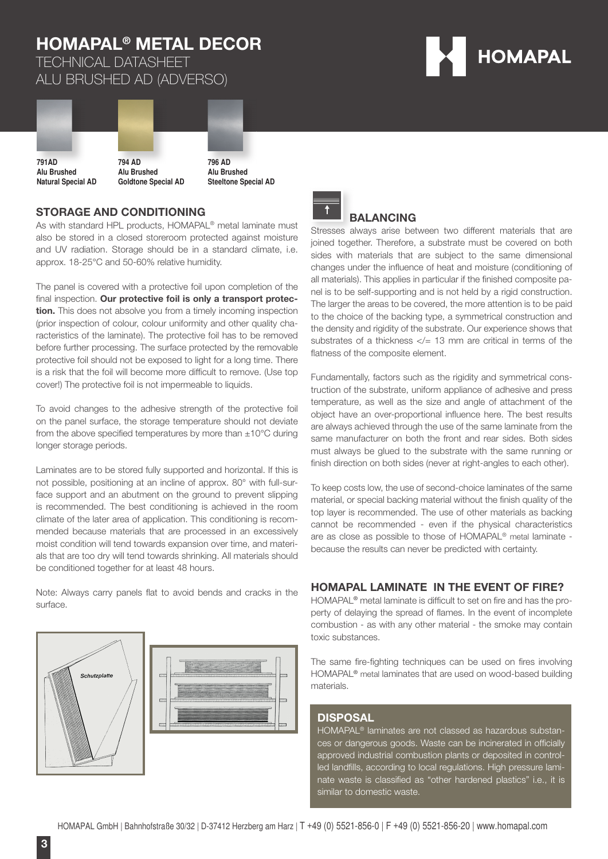TECHNICAL DATASHEET ALU BRUSHED AD (ADVERSO)





### **STORAGE AND CONDITIONING**

As with standard HPL products, HOMAPAL<sup>®</sup> metal laminate must also be stored in a closed storeroom protected against moisture and UV radiation. Storage should be in a standard climate, i.e. approx. 18-25°C and 50-60% relative humidity.

The panel is covered with a protective foil upon completion of the final inspection. Our protective foil is only a transport protec**tion.** This does not absolve you from a timely incoming inspection (prior inspection of colour, colour uniformity and other quality characteristics of the laminate). The protective foil has to be removed before further processing. The surface protected by the removable protective foil should not be exposed to light for a long time. There is a risk that the foil will become more difficult to remove. (Use top cover!) The protective foil is not impermeable to liquids.

To avoid changes to the adhesive strength of the protective foil on the panel surface, the storage temperature should not deviate from the above specified temperatures by more than  $\pm 10^{\circ}$ C during longer storage periods.

Laminates are to be stored fully supported and horizontal. If this is not possible, positioning at an incline of approx. 80° with full-surface support and an abutment on the ground to prevent slipping is recommended. The best conditioning is achieved in the room climate of the later area of application. This conditioning is recommended because materials that are processed in an excessively moist condition will tend towards expansion over time, and materials that are too dry will tend towards shrinking. All materials should be conditioned together for at least 48 hours.

Note: Always carry panels flat to avoid bends and cracks in the surface.







### **BALANCING**

Stresses always arise between two different materials that are joined together. Therefore, a substrate must be covered on both sides with materials that are subject to the same dimensional changes under the influence of heat and moisture (conditioning of all materials). This applies in particular if the finished composite panel is to be self-supporting and is not held by a rigid construction. The larger the areas to be covered, the more attention is to be paid to the choice of the backing type, a symmetrical construction and the density and rigidity of the substrate. Our experience shows that substrates of a thickness  $\lt/= 13$  mm are critical in terms of the flatness of the composite element.

Fundamentally, factors such as the rigidity and symmetrical construction of the substrate, uniform appliance of adhesive and press temperature, as well as the size and angle of attachment of the object have an over-proportional influence here. The best results are always achieved through the use of the same laminate from the same manufacturer on both the front and rear sides. Both sides must always be glued to the substrate with the same running or finish direction on both sides (never at right-angles to each other).

To keep costs low, the use of second-choice laminates of the same material, or special backing material without the finish quality of the top layer is recommended. The use of other materials as backing cannot be recommended - even if the physical characteristics are as close as possible to those of HOMAPAL® metal laminate because the results can never be predicted with certainty.

### **HOMAPAL LAMINATE IN THE EVENT OF FIRE?**

HOMAPAL® metal laminate is difficult to set on fire and has the property of delaying the spread of flames. In the event of incomplete combustion - as with any other material - the smoke may contain toxic substances.

The same fire-fighting techniques can be used on fires involving HOMAPAL® metal laminates that are used on wood-based building materials.

#### **DISPOSAL**

HOMAPAL® laminates are not classed as hazardous substances or dangerous goods. Waste can be incinerated in officially approved industrial combustion plants or deposited in controlled landfills, according to local regulations. High pressure laminate waste is classified as "other hardened plastics" i.e., it is similar to domestic waste.